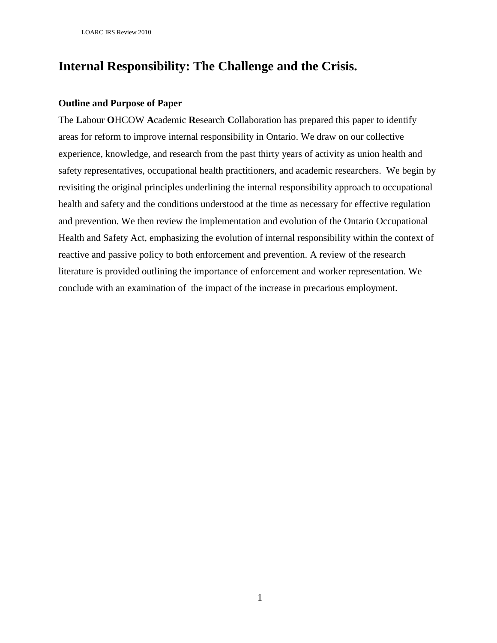# **Internal Responsibility: The Challenge and the Crisis.**

# **Outline and Purpose of Paper**

The **L**abour **O**HCOW **A**cademic **R**esearch **C**ollaboration has prepared this paper to identify areas for reform to improve internal responsibility in Ontario. We draw on our collective experience, knowledge, and research from the past thirty years of activity as union health and safety representatives, occupational health practitioners, and academic researchers. We begin by revisiting the original principles underlining the internal responsibility approach to occupational health and safety and the conditions understood at the time as necessary for effective regulation and prevention. We then review the implementation and evolution of the Ontario Occupational Health and Safety Act, emphasizing the evolution of internal responsibility within the context of reactive and passive policy to both enforcement and prevention. A review of the research literature is provided outlining the importance of enforcement and worker representation. We conclude with an examination of the impact of the increase in precarious employment.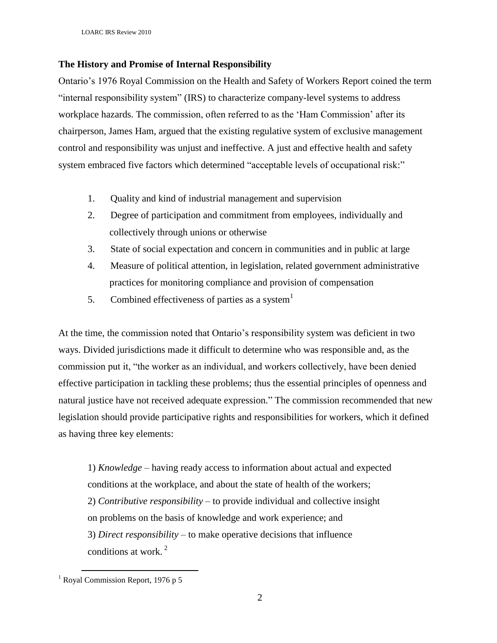# **The History and Promise of Internal Responsibility**

Ontario"s 1976 Royal Commission on the Health and Safety of Workers Report coined the term "internal responsibility system" (IRS) to characterize company-level systems to address workplace hazards. The commission, often referred to as the "Ham Commission" after its chairperson, James Ham, argued that the existing regulative system of exclusive management control and responsibility was unjust and ineffective. A just and effective health and safety system embraced five factors which determined "acceptable levels of occupational risk:"

- 1. Quality and kind of industrial management and supervision
- 2. Degree of participation and commitment from employees, individually and collectively through unions or otherwise
- 3. State of social expectation and concern in communities and in public at large
- 4. Measure of political attention, in legislation, related government administrative practices for monitoring compliance and provision of compensation
- 5. Combined effectiveness of parties as a system  $1$

At the time, the commission noted that Ontario"s responsibility system was deficient in two ways. Divided jurisdictions made it difficult to determine who was responsible and, as the commission put it, "the worker as an individual, and workers collectively, have been denied effective participation in tackling these problems; thus the essential principles of openness and natural justice have not received adequate expression." The commission recommended that new legislation should provide participative rights and responsibilities for workers, which it defined as having three key elements:

1) *Knowledge* – having ready access to information about actual and expected conditions at the workplace, and about the state of health of the workers; 2) *Contributive responsibility* – to provide individual and collective insight on problems on the basis of knowledge and work experience; and 3) *Direct responsibility* – to make operative decisions that influence conditions at work. $^2$ 

 $\overline{a}$ 

 $<sup>1</sup>$  Royal Commission Report, 1976 p 5</sup>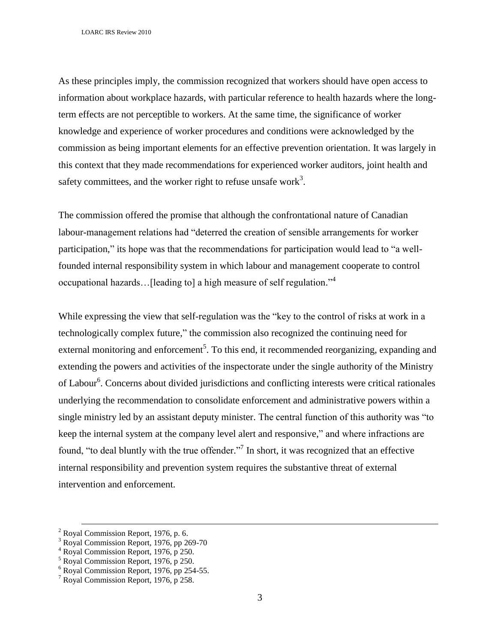LOARC IRS Review 2010

As these principles imply, the commission recognized that workers should have open access to information about workplace hazards, with particular reference to health hazards where the longterm effects are not perceptible to workers. At the same time, the significance of worker knowledge and experience of worker procedures and conditions were acknowledged by the commission as being important elements for an effective prevention orientation. It was largely in this context that they made recommendations for experienced worker auditors, joint health and safety committees, and the worker right to refuse unsafe work<sup>3</sup>.

The commission offered the promise that although the confrontational nature of Canadian labour-management relations had "deterred the creation of sensible arrangements for worker participation," its hope was that the recommendations for participation would lead to "a wellfounded internal responsibility system in which labour and management cooperate to control occupational hazards... [leading to] a high measure of self regulation."<sup>4</sup>

While expressing the view that self-regulation was the "key to the control of risks at work in a technologically complex future," the commission also recognized the continuing need for external monitoring and enforcement<sup>5</sup>. To this end, it recommended reorganizing, expanding and extending the powers and activities of the inspectorate under the single authority of the Ministry of Labour<sup>6</sup>. Concerns about divided jurisdictions and conflicting interests were critical rationales underlying the recommendation to consolidate enforcement and administrative powers within a single ministry led by an assistant deputy minister. The central function of this authority was "to keep the internal system at the company level alert and responsive," and where infractions are found, "to deal bluntly with the true offender."<sup>7</sup> In short, it was recognized that an effective internal responsibility and prevention system requires the substantive threat of external intervention and enforcement.

 $\overline{a}$ 

 $2$  Royal Commission Report, 1976, p. 6.

<sup>&</sup>lt;sup>3</sup> Royal Commission Report, 1976, pp 269-70

<sup>4</sup> Royal Commission Report, 1976, p 250.

<sup>5</sup> Royal Commission Report, 1976, p 250.

 $6$  Royal Commission Report, 1976, pp 254-55.

<sup>7</sup> Royal Commission Report, 1976, p 258.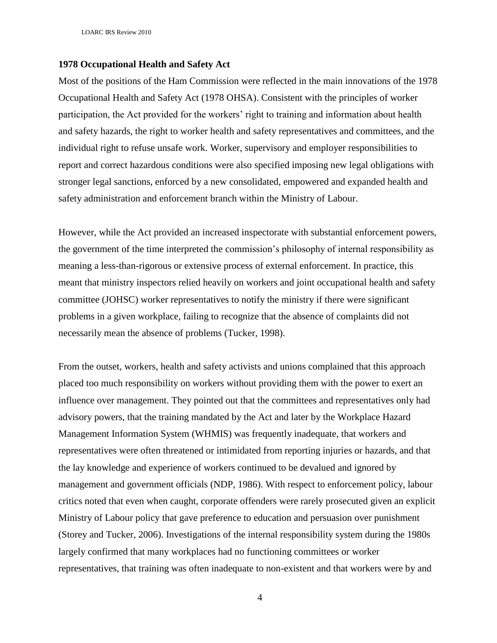LOARC IRS Review 2010

## **1978 Occupational Health and Safety Act**

Most of the positions of the Ham Commission were reflected in the main innovations of the 1978 Occupational Health and Safety Act (1978 OHSA). Consistent with the principles of worker participation, the Act provided for the workers' right to training and information about health and safety hazards, the right to worker health and safety representatives and committees, and the individual right to refuse unsafe work. Worker, supervisory and employer responsibilities to report and correct hazardous conditions were also specified imposing new legal obligations with stronger legal sanctions, enforced by a new consolidated, empowered and expanded health and safety administration and enforcement branch within the Ministry of Labour.

However, while the Act provided an increased inspectorate with substantial enforcement powers, the government of the time interpreted the commission"s philosophy of internal responsibility as meaning a less-than-rigorous or extensive process of external enforcement. In practice, this meant that ministry inspectors relied heavily on workers and joint occupational health and safety committee (JOHSC) worker representatives to notify the ministry if there were significant problems in a given workplace, failing to recognize that the absence of complaints did not necessarily mean the absence of problems (Tucker, 1998).

From the outset, workers, health and safety activists and unions complained that this approach placed too much responsibility on workers without providing them with the power to exert an influence over management. They pointed out that the committees and representatives only had advisory powers, that the training mandated by the Act and later by the Workplace Hazard Management Information System (WHMIS) was frequently inadequate, that workers and representatives were often threatened or intimidated from reporting injuries or hazards, and that the lay knowledge and experience of workers continued to be devalued and ignored by management and government officials (NDP, 1986). With respect to enforcement policy, labour critics noted that even when caught, corporate offenders were rarely prosecuted given an explicit Ministry of Labour policy that gave preference to education and persuasion over punishment (Storey and Tucker, 2006). Investigations of the internal responsibility system during the 1980s largely confirmed that many workplaces had no functioning committees or worker representatives, that training was often inadequate to non-existent and that workers were by and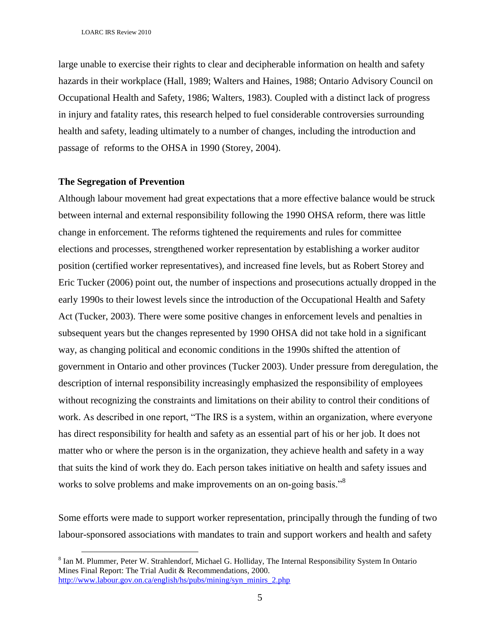large unable to exercise their rights to clear and decipherable information on health and safety hazards in their workplace (Hall, 1989; Walters and Haines, 1988; Ontario Advisory Council on Occupational Health and Safety, 1986; Walters, 1983). Coupled with a distinct lack of progress in injury and fatality rates, this research helped to fuel considerable controversies surrounding health and safety, leading ultimately to a number of changes, including the introduction and passage of reforms to the OHSA in 1990 (Storey, 2004).

### **The Segregation of Prevention**

 $\overline{a}$ 

Although labour movement had great expectations that a more effective balance would be struck between internal and external responsibility following the 1990 OHSA reform, there was little change in enforcement. The reforms tightened the requirements and rules for committee elections and processes, strengthened worker representation by establishing a worker auditor position (certified worker representatives), and increased fine levels, but as Robert Storey and Eric Tucker (2006) point out, the number of inspections and prosecutions actually dropped in the early 1990s to their lowest levels since the introduction of the Occupational Health and Safety Act (Tucker, 2003). There were some positive changes in enforcement levels and penalties in subsequent years but the changes represented by 1990 OHSA did not take hold in a significant way, as changing political and economic conditions in the 1990s shifted the attention of government in Ontario and other provinces (Tucker 2003). Under pressure from deregulation, the description of internal responsibility increasingly emphasized the responsibility of employees without recognizing the constraints and limitations on their ability to control their conditions of work. As described in one report, "The IRS is a system, within an organization, where everyone has direct responsibility for health and safety as an essential part of his or her job. It does not matter who or where the person is in the organization, they achieve health and safety in a way that suits the kind of work they do. Each person takes initiative on health and safety issues and works to solve problems and make improvements on an on-going basis."<sup>8</sup>

Some efforts were made to support worker representation, principally through the funding of two labour-sponsored associations with mandates to train and support workers and health and safety

<sup>&</sup>lt;sup>8</sup> Ian M. Plummer, Peter W. Strahlendorf, Michael G. Holliday, The Internal Responsibility System In Ontario Mines Final Report: The Trial Audit & Recommendations, 2000. [http://www.labour.gov.on.ca/english/hs/pubs/mining/syn\\_minirs\\_2.php](http://www.labour.gov.on.ca/english/hs/pubs/mining/syn_minirs_2.php)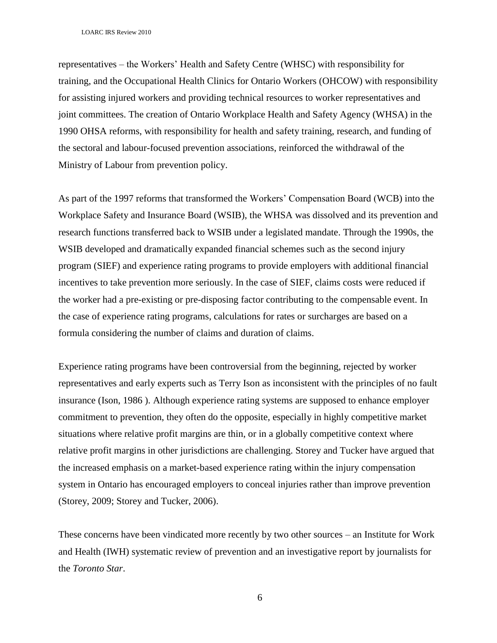representatives – the Workers" Health and Safety Centre (WHSC) with responsibility for training, and the Occupational Health Clinics for Ontario Workers (OHCOW) with responsibility for assisting injured workers and providing technical resources to worker representatives and joint committees. The creation of Ontario Workplace Health and Safety Agency (WHSA) in the 1990 OHSA reforms, with responsibility for health and safety training, research, and funding of the sectoral and labour-focused prevention associations, reinforced the withdrawal of the Ministry of Labour from prevention policy.

As part of the 1997 reforms that transformed the Workers' Compensation Board (WCB) into the Workplace Safety and Insurance Board (WSIB), the WHSA was dissolved and its prevention and research functions transferred back to WSIB under a legislated mandate. Through the 1990s, the WSIB developed and dramatically expanded financial schemes such as the second injury program (SIEF) and experience rating programs to provide employers with additional financial incentives to take prevention more seriously. In the case of SIEF, claims costs were reduced if the worker had a pre-existing or pre-disposing factor contributing to the compensable event. In the case of experience rating programs, calculations for rates or surcharges are based on a formula considering the number of claims and duration of claims.

Experience rating programs have been controversial from the beginning, rejected by worker representatives and early experts such as Terry Ison as inconsistent with the principles of no fault insurance (Ison, 1986 ). Although experience rating systems are supposed to enhance employer commitment to prevention, they often do the opposite, especially in highly competitive market situations where relative profit margins are thin, or in a globally competitive context where relative profit margins in other jurisdictions are challenging. Storey and Tucker have argued that the increased emphasis on a market-based experience rating within the injury compensation system in Ontario has encouraged employers to conceal injuries rather than improve prevention (Storey, 2009; Storey and Tucker, 2006).

These concerns have been vindicated more recently by two other sources – an Institute for Work and Health (IWH) systematic review of prevention and an investigative report by journalists for the *Toronto Star*.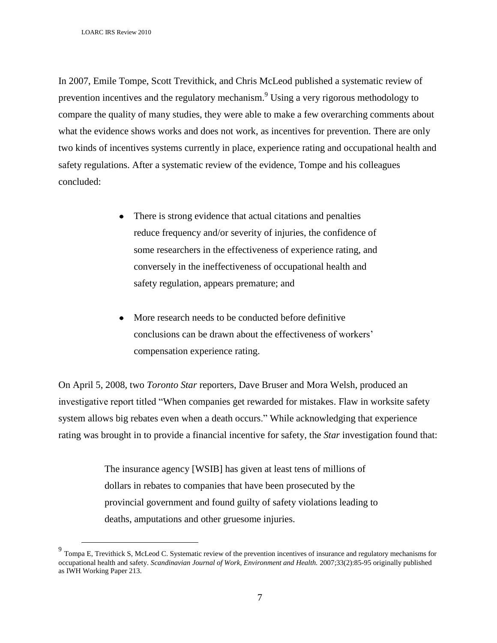$\overline{a}$ 

In 2007, Emile Tompe, Scott Trevithick, and Chris McLeod published a systematic review of prevention incentives and the regulatory mechanism.<sup>9</sup> Using a very rigorous methodology to compare the quality of many studies, they were able to make a few overarching comments about what the evidence shows works and does not work, as incentives for prevention. There are only two kinds of incentives systems currently in place, experience rating and occupational health and safety regulations. After a systematic review of the evidence, Tompe and his colleagues concluded:

- There is strong evidence that actual citations and penalties reduce frequency and/or severity of injuries, the confidence of some researchers in the effectiveness of experience rating, and conversely in the ineffectiveness of occupational health and safety regulation, appears premature; and
- More research needs to be conducted before definitive conclusions can be drawn about the effectiveness of workers" compensation experience rating.

On April 5, 2008, two *Toronto Star* reporters, Dave Bruser and Mora Welsh, produced an investigative report titled "When companies get rewarded for mistakes. Flaw in worksite safety system allows big rebates even when a death occurs." While acknowledging that experience rating was brought in to provide a financial incentive for safety, the *Star* investigation found that:

> The insurance agency [WSIB] has given at least tens of millions of dollars in rebates to companies that have been prosecuted by the provincial government and found guilty of safety violations leading to deaths, amputations and other gruesome injuries.

<sup>&</sup>lt;sup>9</sup> [Tompa E,](http://www.iwh.on.ca/biblio/author/118) [Trevithick S,](http://www.iwh.on.ca/biblio/author/641) [McLeod C.](http://www.iwh.on.ca/biblio/author/460) Systematic review of the prevention incentives of insurance and regulatory mechanisms for [occupational health and safety.](http://www.iwh.on.ca/biblio/view/2708) *Scandinavian Journal of Work, Environment and Health.* 2007;33(2):85-95 originally published as IWH Working Paper 213.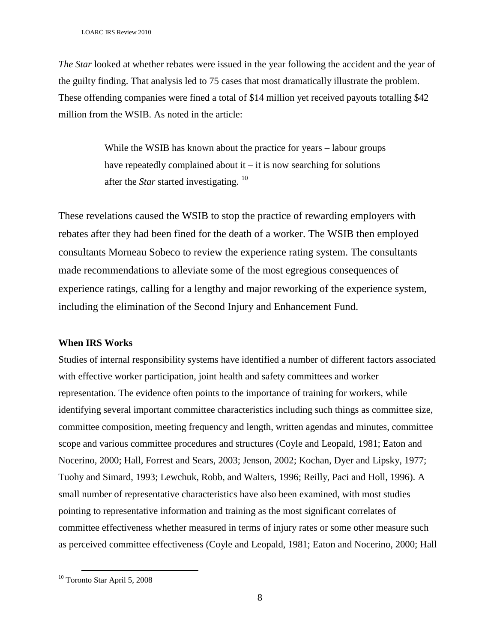*The Star* looked at whether rebates were issued in the year following the accident and the year of the guilty finding. That analysis led to 75 cases that most dramatically illustrate the problem. These offending companies were fined a total of \$14 million yet received payouts totalling \$42 million from the WSIB. As noted in the article:

> While the WSIB has known about the practice for years – labour groups have repeatedly complained about it  $-$  it is now searching for solutions after the *Star* started investigating. <sup>10</sup>

These revelations caused the WSIB to stop the practice of rewarding employers with rebates after they had been fined for the death of a worker. The WSIB then employed consultants Morneau Sobeco to review the experience rating system. The consultants made recommendations to alleviate some of the most egregious consequences of experience ratings, calling for a lengthy and major reworking of the experience system, including the elimination of the Second Injury and Enhancement Fund.

## **When IRS Works**

Studies of internal responsibility systems have identified a number of different factors associated with effective worker participation, joint health and safety committees and worker representation. The evidence often points to the importance of training for workers, while identifying several important committee characteristics including such things as committee size, committee composition, meeting frequency and length, written agendas and minutes, committee scope and various committee procedures and structures (Coyle and Leopald, 1981; Eaton and Nocerino, 2000; Hall, Forrest and Sears, 2003; Jenson, 2002; Kochan, Dyer and Lipsky, 1977; Tuohy and Simard, 1993; Lewchuk, Robb, and Walters, 1996; Reilly, Paci and Holl, 1996). A small number of representative characteristics have also been examined, with most studies pointing to representative information and training as the most significant correlates of committee effectiveness whether measured in terms of injury rates or some other measure such as perceived committee effectiveness (Coyle and Leopald, 1981; Eaton and Nocerino, 2000; Hall

 $\overline{a}$ 

<sup>10</sup> Toronto Star April 5, 2008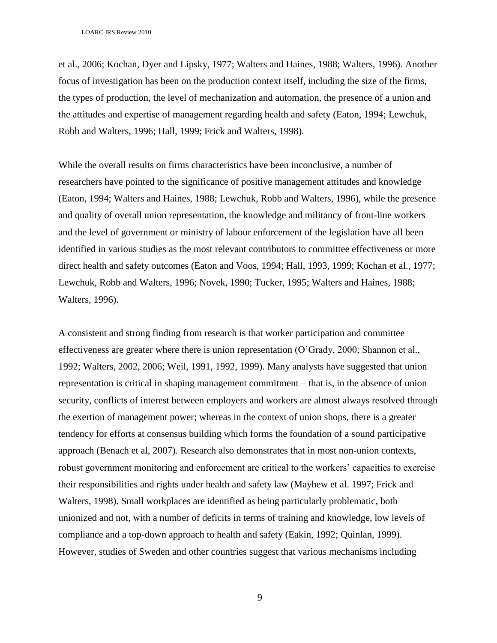et al., 2006; Kochan, Dyer and Lipsky, 1977; Walters and Haines, 1988; Walters, 1996). Another focus of investigation has been on the production context itself, including the size of the firms, the types of production, the level of mechanization and automation, the presence of a union and the attitudes and expertise of management regarding health and safety (Eaton, 1994; Lewchuk, Robb and Walters, 1996; Hall, 1999; Frick and Walters, 1998).

While the overall results on firms characteristics have been inconclusive, a number of researchers have pointed to the significance of positive management attitudes and knowledge (Eaton, 1994; Walters and Haines, 1988; Lewchuk, Robb and Walters, 1996), while the presence and quality of overall union representation, the knowledge and militancy of front-line workers and the level of government or ministry of labour enforcement of the legislation have all been identified in various studies as the most relevant contributors to committee effectiveness or more direct health and safety outcomes (Eaton and Voos, 1994; Hall, 1993, 1999; Kochan et al., 1977; Lewchuk, Robb and Walters, 1996; Novek, 1990; Tucker, 1995; Walters and Haines, 1988; Walters, 1996).

A consistent and strong finding from research is that worker participation and committee effectiveness are greater where there is union representation (O"Grady, 2000; Shannon et al., 1992; Walters, 2002, 2006; Weil, 1991, 1992, 1999). Many analysts have suggested that union representation is critical in shaping management commitment – that is, in the absence of union security, conflicts of interest between employers and workers are almost always resolved through the exertion of management power; whereas in the context of union shops, there is a greater tendency for efforts at consensus building which forms the foundation of a sound participative approach (Benach et al, 2007). Research also demonstrates that in most non-union contexts, robust government monitoring and enforcement are critical to the workers' capacities to exercise their responsibilities and rights under health and safety law (Mayhew et al. 1997; Frick and Walters, 1998). Small workplaces are identified as being particularly problematic, both unionized and not, with a number of deficits in terms of training and knowledge, low levels of compliance and a top-down approach to health and safety (Eakin, 1992; Quinlan, 1999). However, studies of Sweden and other countries suggest that various mechanisms including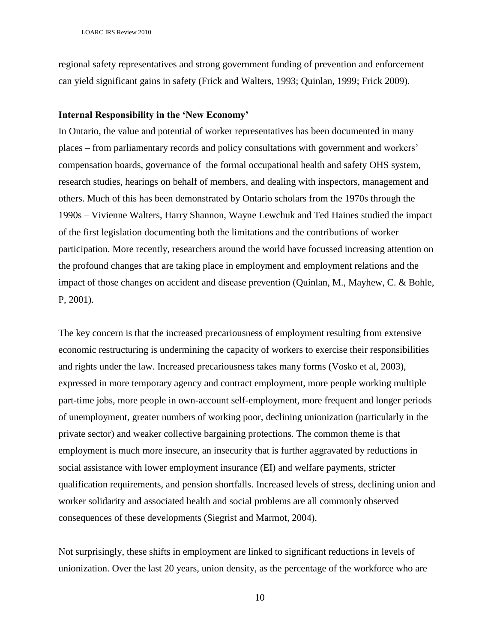regional safety representatives and strong government funding of prevention and enforcement can yield significant gains in safety (Frick and Walters, 1993; Quinlan, 1999; Frick 2009).

#### **Internal Responsibility in the 'New Economy'**

In Ontario, the value and potential of worker representatives has been documented in many places – from parliamentary records and policy consultations with government and workers" compensation boards, governance of the formal occupational health and safety OHS system, research studies, hearings on behalf of members, and dealing with inspectors, management and others. Much of this has been demonstrated by Ontario scholars from the 1970s through the 1990s – Vivienne Walters, Harry Shannon, Wayne Lewchuk and Ted Haines studied the impact of the first legislation documenting both the limitations and the contributions of worker participation. More recently, researchers around the world have focussed increasing attention on the profound changes that are taking place in employment and employment relations and the impact of those changes on accident and disease prevention (Quinlan, M., Mayhew, C. & Bohle, P, 2001).

The key concern is that the increased precariousness of employment resulting from extensive economic restructuring is undermining the capacity of workers to exercise their responsibilities and rights under the law. Increased precariousness takes many forms (Vosko et al, 2003), expressed in more temporary agency and contract employment, more people working multiple part-time jobs, more people in own-account self-employment, more frequent and longer periods of unemployment, greater numbers of working poor, declining unionization (particularly in the private sector) and weaker collective bargaining protections. The common theme is that employment is much more insecure, an insecurity that is further aggravated by reductions in social assistance with lower employment insurance (EI) and welfare payments, stricter qualification requirements, and pension shortfalls. Increased levels of stress, declining union and worker solidarity and associated health and social problems are all commonly observed consequences of these developments (Siegrist and Marmot, 2004).

Not surprisingly, these shifts in employment are linked to significant reductions in levels of unionization. Over the last 20 years, union density, as the percentage of the workforce who are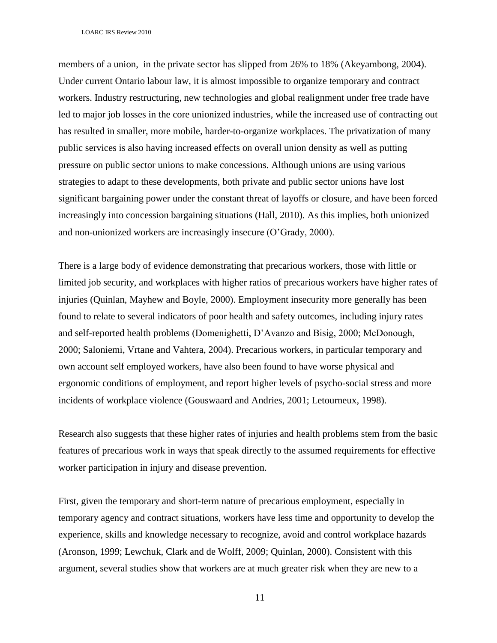members of a union, in the private sector has slipped from 26% to 18% (Akeyambong, 2004). Under current Ontario labour law, it is almost impossible to organize temporary and contract workers. Industry restructuring, new technologies and global realignment under free trade have led to major job losses in the core unionized industries, while the increased use of contracting out has resulted in smaller, more mobile, harder-to-organize workplaces. The privatization of many public services is also having increased effects on overall union density as well as putting pressure on public sector unions to make concessions. Although unions are using various strategies to adapt to these developments, both private and public sector unions have lost significant bargaining power under the constant threat of layoffs or closure, and have been forced increasingly into concession bargaining situations (Hall, 2010). As this implies, both unionized and non-unionized workers are increasingly insecure (O"Grady, 2000).

There is a large body of evidence demonstrating that precarious workers, those with little or limited job security, and workplaces with higher ratios of precarious workers have higher rates of injuries (Quinlan, Mayhew and Boyle, 2000). Employment insecurity more generally has been found to relate to several indicators of poor health and safety outcomes, including injury rates and self-reported health problems (Domenighetti, D"Avanzo and Bisig, 2000; McDonough, 2000; Saloniemi, Vrtane and Vahtera, 2004). Precarious workers, in particular temporary and own account self employed workers, have also been found to have worse physical and ergonomic conditions of employment, and report higher levels of psycho-social stress and more incidents of workplace violence (Gouswaard and Andries, 2001; Letourneux, 1998).

Research also suggests that these higher rates of injuries and health problems stem from the basic features of precarious work in ways that speak directly to the assumed requirements for effective worker participation in injury and disease prevention.

First, given the temporary and short-term nature of precarious employment, especially in temporary agency and contract situations, workers have less time and opportunity to develop the experience, skills and knowledge necessary to recognize, avoid and control workplace hazards (Aronson, 1999; Lewchuk, Clark and de Wolff, 2009; Quinlan, 2000). Consistent with this argument, several studies show that workers are at much greater risk when they are new to a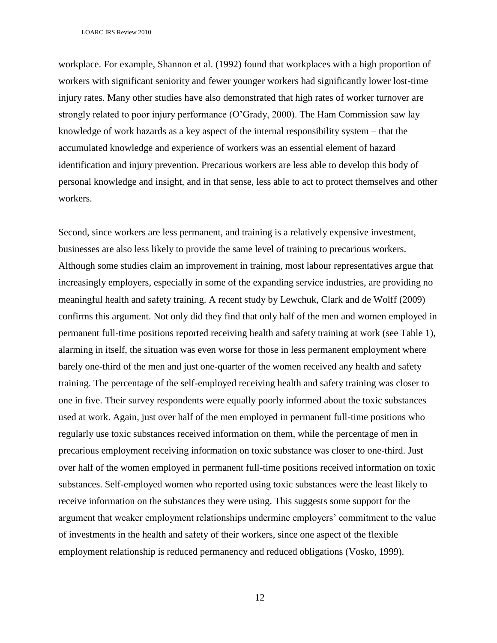workplace. For example, Shannon et al. (1992) found that workplaces with a high proportion of workers with significant seniority and fewer younger workers had significantly lower lost-time injury rates. Many other studies have also demonstrated that high rates of worker turnover are strongly related to poor injury performance (O"Grady, 2000). The Ham Commission saw lay knowledge of work hazards as a key aspect of the internal responsibility system – that the accumulated knowledge and experience of workers was an essential element of hazard identification and injury prevention. Precarious workers are less able to develop this body of personal knowledge and insight, and in that sense, less able to act to protect themselves and other workers.

Second, since workers are less permanent, and training is a relatively expensive investment, businesses are also less likely to provide the same level of training to precarious workers. Although some studies claim an improvement in training, most labour representatives argue that increasingly employers, especially in some of the expanding service industries, are providing no meaningful health and safety training. A recent study by Lewchuk, Clark and de Wolff (2009) confirms this argument. Not only did they find that only half of the men and women employed in permanent full-time positions reported receiving health and safety training at work (see Table 1), alarming in itself, the situation was even worse for those in less permanent employment where barely one-third of the men and just one-quarter of the women received any health and safety training. The percentage of the self-employed receiving health and safety training was closer to one in five. Their survey respondents were equally poorly informed about the toxic substances used at work. Again, just over half of the men employed in permanent full-time positions who regularly use toxic substances received information on them, while the percentage of men in precarious employment receiving information on toxic substance was closer to one-third. Just over half of the women employed in permanent full-time positions received information on toxic substances. Self-employed women who reported using toxic substances were the least likely to receive information on the substances they were using. This suggests some support for the argument that weaker employment relationships undermine employers' commitment to the value of investments in the health and safety of their workers, since one aspect of the flexible employment relationship is reduced permanency and reduced obligations (Vosko, 1999).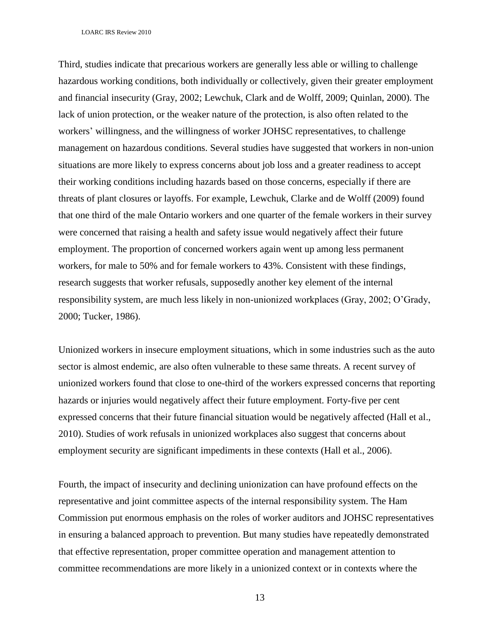Third, studies indicate that precarious workers are generally less able or willing to challenge hazardous working conditions, both individually or collectively, given their greater employment and financial insecurity (Gray, 2002; Lewchuk, Clark and de Wolff, 2009; Quinlan, 2000). The lack of union protection, or the weaker nature of the protection, is also often related to the workers" willingness, and the willingness of worker JOHSC representatives, to challenge management on hazardous conditions. Several studies have suggested that workers in non-union situations are more likely to express concerns about job loss and a greater readiness to accept their working conditions including hazards based on those concerns, especially if there are threats of plant closures or layoffs. For example, Lewchuk, Clarke and de Wolff (2009) found that one third of the male Ontario workers and one quarter of the female workers in their survey were concerned that raising a health and safety issue would negatively affect their future employment. The proportion of concerned workers again went up among less permanent workers, for male to 50% and for female workers to 43%. Consistent with these findings, research suggests that worker refusals, supposedly another key element of the internal responsibility system, are much less likely in non-unionized workplaces (Gray, 2002; O"Grady, 2000; Tucker, 1986).

Unionized workers in insecure employment situations, which in some industries such as the auto sector is almost endemic, are also often vulnerable to these same threats. A recent survey of unionized workers found that close to one-third of the workers expressed concerns that reporting hazards or injuries would negatively affect their future employment. Forty-five per cent expressed concerns that their future financial situation would be negatively affected (Hall et al., 2010). Studies of work refusals in unionized workplaces also suggest that concerns about employment security are significant impediments in these contexts (Hall et al., 2006).

Fourth, the impact of insecurity and declining unionization can have profound effects on the representative and joint committee aspects of the internal responsibility system. The Ham Commission put enormous emphasis on the roles of worker auditors and JOHSC representatives in ensuring a balanced approach to prevention. But many studies have repeatedly demonstrated that effective representation, proper committee operation and management attention to committee recommendations are more likely in a unionized context or in contexts where the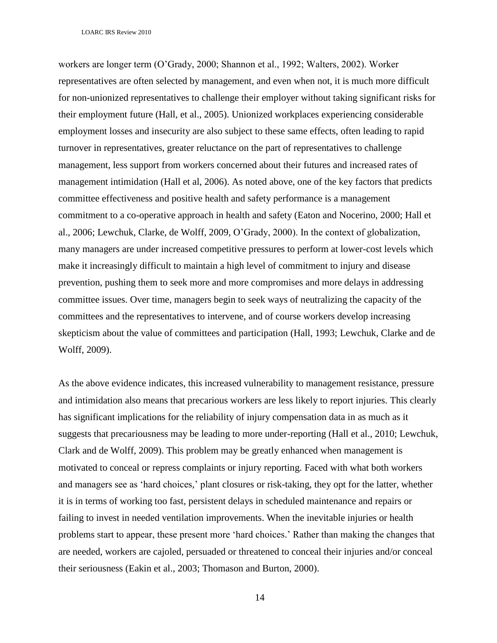workers are longer term (O"Grady, 2000; Shannon et al., 1992; Walters, 2002). Worker representatives are often selected by management, and even when not, it is much more difficult for non-unionized representatives to challenge their employer without taking significant risks for their employment future (Hall, et al., 2005). Unionized workplaces experiencing considerable employment losses and insecurity are also subject to these same effects, often leading to rapid turnover in representatives, greater reluctance on the part of representatives to challenge management, less support from workers concerned about their futures and increased rates of management intimidation (Hall et al, 2006). As noted above, one of the key factors that predicts committee effectiveness and positive health and safety performance is a management commitment to a co-operative approach in health and safety (Eaton and Nocerino, 2000; Hall et al., 2006; Lewchuk, Clarke, de Wolff, 2009, O"Grady, 2000). In the context of globalization, many managers are under increased competitive pressures to perform at lower-cost levels which make it increasingly difficult to maintain a high level of commitment to injury and disease prevention, pushing them to seek more and more compromises and more delays in addressing committee issues. Over time, managers begin to seek ways of neutralizing the capacity of the committees and the representatives to intervene, and of course workers develop increasing skepticism about the value of committees and participation (Hall, 1993; Lewchuk, Clarke and de Wolff, 2009).

As the above evidence indicates, this increased vulnerability to management resistance, pressure and intimidation also means that precarious workers are less likely to report injuries. This clearly has significant implications for the reliability of injury compensation data in as much as it suggests that precariousness may be leading to more under-reporting (Hall et al., 2010; Lewchuk, Clark and de Wolff, 2009). This problem may be greatly enhanced when management is motivated to conceal or repress complaints or injury reporting. Faced with what both workers and managers see as "hard choices," plant closures or risk-taking, they opt for the latter, whether it is in terms of working too fast, persistent delays in scheduled maintenance and repairs or failing to invest in needed ventilation improvements. When the inevitable injuries or health problems start to appear, these present more "hard choices." Rather than making the changes that are needed, workers are cajoled, persuaded or threatened to conceal their injuries and/or conceal their seriousness (Eakin et al., 2003; Thomason and Burton, 2000).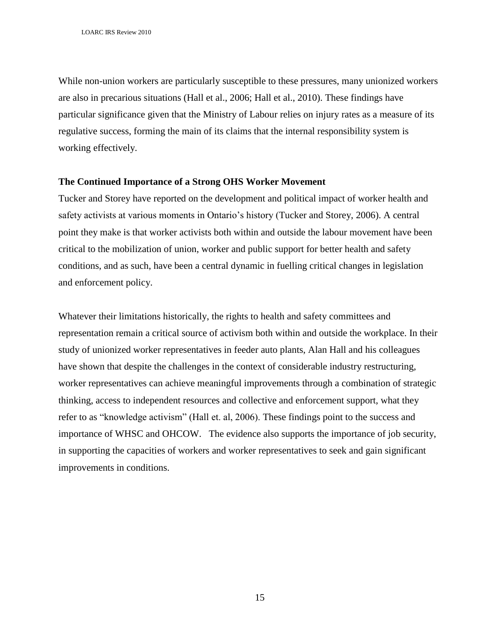While non-union workers are particularly susceptible to these pressures, many unionized workers are also in precarious situations (Hall et al., 2006; Hall et al., 2010). These findings have particular significance given that the Ministry of Labour relies on injury rates as a measure of its regulative success, forming the main of its claims that the internal responsibility system is working effectively.

## **The Continued Importance of a Strong OHS Worker Movement**

Tucker and Storey have reported on the development and political impact of worker health and safety activists at various moments in Ontario's history (Tucker and Storey, 2006). A central point they make is that worker activists both within and outside the labour movement have been critical to the mobilization of union, worker and public support for better health and safety conditions, and as such, have been a central dynamic in fuelling critical changes in legislation and enforcement policy.

Whatever their limitations historically, the rights to health and safety committees and representation remain a critical source of activism both within and outside the workplace. In their study of unionized worker representatives in feeder auto plants, Alan Hall and his colleagues have shown that despite the challenges in the context of considerable industry restructuring, worker representatives can achieve meaningful improvements through a combination of strategic thinking, access to independent resources and collective and enforcement support, what they refer to as "knowledge activism" (Hall et. al, 2006). These findings point to the success and importance of WHSC and OHCOW. The evidence also supports the importance of job security, in supporting the capacities of workers and worker representatives to seek and gain significant improvements in conditions.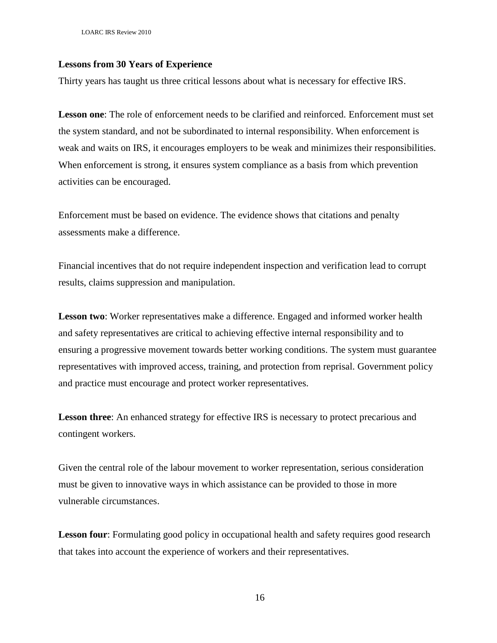LOARC IRS Review 2010

### **Lessons from 30 Years of Experience**

Thirty years has taught us three critical lessons about what is necessary for effective IRS.

**Lesson one**: The role of enforcement needs to be clarified and reinforced. Enforcement must set the system standard, and not be subordinated to internal responsibility. When enforcement is weak and waits on IRS, it encourages employers to be weak and minimizes their responsibilities. When enforcement is strong, it ensures system compliance as a basis from which prevention activities can be encouraged.

Enforcement must be based on evidence. The evidence shows that citations and penalty assessments make a difference.

Financial incentives that do not require independent inspection and verification lead to corrupt results, claims suppression and manipulation.

**Lesson two**: Worker representatives make a difference. Engaged and informed worker health and safety representatives are critical to achieving effective internal responsibility and to ensuring a progressive movement towards better working conditions. The system must guarantee representatives with improved access, training, and protection from reprisal. Government policy and practice must encourage and protect worker representatives.

**Lesson three**: An enhanced strategy for effective IRS is necessary to protect precarious and contingent workers.

Given the central role of the labour movement to worker representation, serious consideration must be given to innovative ways in which assistance can be provided to those in more vulnerable circumstances.

Lesson four: Formulating good policy in occupational health and safety requires good research that takes into account the experience of workers and their representatives.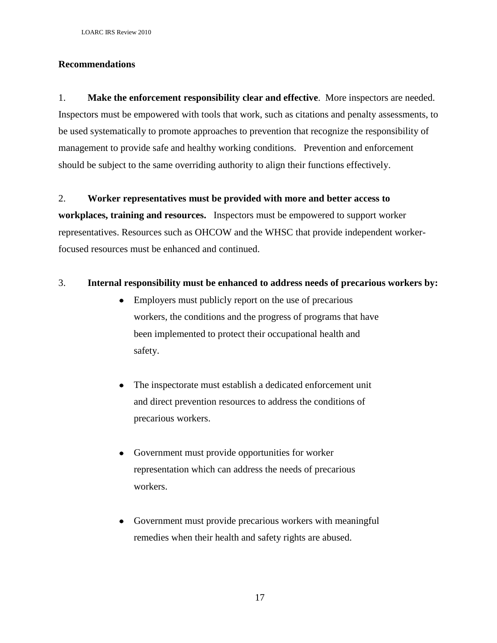# **Recommendations**

1. **Make the enforcement responsibility clear and effective**. More inspectors are needed. Inspectors must be empowered with tools that work, such as citations and penalty assessments, to be used systematically to promote approaches to prevention that recognize the responsibility of management to provide safe and healthy working conditions. Prevention and enforcement should be subject to the same overriding authority to align their functions effectively.

## 2. **Worker representatives must be provided with more and better access to**

**workplaces, training and resources.** Inspectors must be empowered to support worker representatives. Resources such as OHCOW and the WHSC that provide independent workerfocused resources must be enhanced and continued.

## 3. **Internal responsibility must be enhanced to address needs of precarious workers by:**

- Employers must publicly report on the use of precarious workers, the conditions and the progress of programs that have been implemented to protect their occupational health and safety.
- The inspectorate must establish a dedicated enforcement unit and direct prevention resources to address the conditions of precarious workers.
- Government must provide opportunities for worker  $\bullet$ representation which can address the needs of precarious workers.
- Government must provide precarious workers with meaningful remedies when their health and safety rights are abused.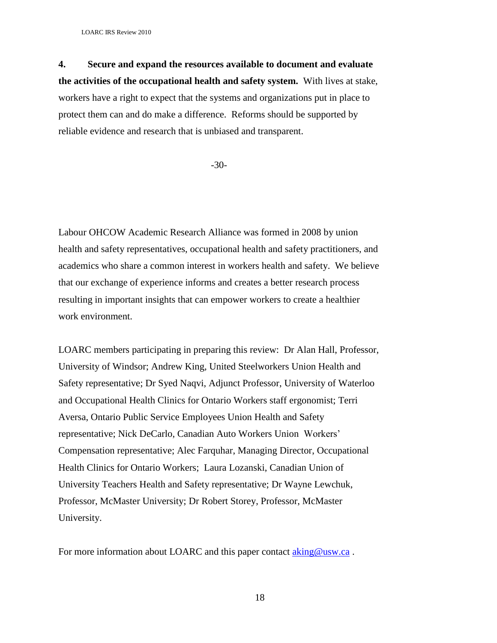**4. Secure and expand the resources available to document and evaluate the activities of the occupational health and safety system.** With lives at stake, workers have a right to expect that the systems and organizations put in place to protect them can and do make a difference. Reforms should be supported by reliable evidence and research that is unbiased and transparent.

-30-

Labour OHCOW Academic Research Alliance was formed in 2008 by union health and safety representatives, occupational health and safety practitioners, and academics who share a common interest in workers health and safety. We believe that our exchange of experience informs and creates a better research process resulting in important insights that can empower workers to create a healthier work environment.

LOARC members participating in preparing this review: Dr Alan Hall, Professor, University of Windsor; Andrew King, United Steelworkers Union Health and Safety representative; Dr Syed Naqvi, Adjunct Professor, University of Waterloo and Occupational Health Clinics for Ontario Workers staff ergonomist; Terri Aversa, Ontario Public Service Employees Union Health and Safety representative; Nick DeCarlo, Canadian Auto Workers Union Workers" Compensation representative; Alec Farquhar, Managing Director, Occupational Health Clinics for Ontario Workers; Laura Lozanski, Canadian Union of University Teachers Health and Safety representative; Dr Wayne Lewchuk, Professor, McMaster University; Dr Robert Storey, Professor, McMaster University.

For more information about LOARC and this paper contact  $\underline{aking@usw.ca}$ .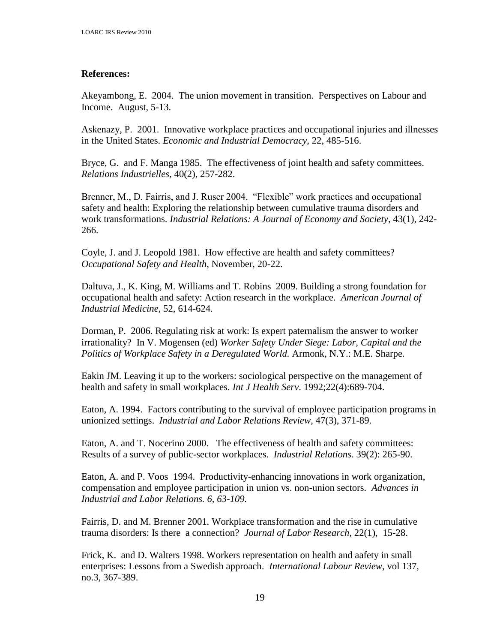# **References:**

Akeyambong, E. 2004. The union movement in transition. Perspectives on Labour and Income. August, 5-13.

Askenazy, P. 2001. Innovative workplace practices and occupational injuries and illnesses in the United States. *Economic and Industrial Democracy,* 22, 485-516.

Bryce, G. and F. Manga 1985. The effectiveness of joint health and safety committees. *Relations Industrielles,* 40(2), 257-282.

Brenner, M., D. Fairris, and J. Ruser 2004. "Flexible" work practices and occupational safety and health: Exploring the relationship between cumulative trauma disorders and work transformations. *Industrial Relations: A Journal of Economy and Society*, 43(1), 242- 266.

Coyle, J. and J. Leopold 1981. How effective are health and safety committees? *Occupational Safety and Health*, November, 20-22.

Daltuva, J., K. King, M. Williams and T. Robins 2009. Building a strong foundation for occupational health and safety: Action research in the workplace. *American Journal of Industrial Medicine*, 52, 614-624.

Dorman, P. 2006. Regulating risk at work: Is expert paternalism the answer to worker irrationality? In V. Mogensen (ed) *Worker Safety Under Siege: Labor, Capital and the Politics of Workplace Safety in a Deregulated World.* Armonk, N.Y.: M.E. Sharpe.

Eakin JM. Leaving it up to the workers: sociological perspective on the management of health and safety in small workplaces. *Int J Health Serv*. 1992;22(4):689-704.

Eaton, A. 1994. Factors contributing to the survival of employee participation programs in unionized settings. *Industrial and Labor Relations Review*, 47(3), 371-89.

Eaton, A. and T. Nocerino 2000. The effectiveness of health and safety committees: Results of a survey of public-sector workplaces. *Industrial Relations*. 39(2): 265-90.

Eaton, A. and P. Voos 1994. Productivity-enhancing innovations in work organization, compensation and employee participation in union vs. non-union sectors. *Advances in Industrial and Labor Relations. 6, 63-109.*

Fairris, D. and M. Brenner 2001. Workplace transformation and the rise in cumulative trauma disorders: Is there a connection? *Journal of Labor Research*, 22(1), 15-28.

Frick, K. and D. Walters 1998. Workers representation on health and aafety in small enterprises: Lessons from a Swedish approach. *International Labour Review*, vol 137, no.3, 367-389.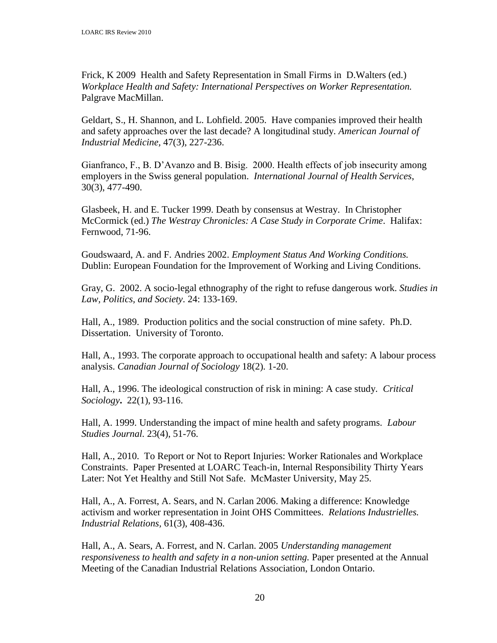Frick, K 2009 Health and Safety Representation in Small Firms in D.Walters (ed.) *Workplace Health and Safety: International Perspectives on Worker Representation.* Palgrave MacMillan.

Geldart, S., H. Shannon, and L. Lohfield. 2005. Have companies improved their health and safety approaches over the last decade? A longitudinal study. *American Journal of Industrial Medicine,* 47(3), 227-236.

Gianfranco, F., B. D"Avanzo and B. Bisig. 2000. Health effects of job insecurity among employers in the Swiss general population. *International Journal of Health Services*, 30(3), 477-490.

Glasbeek, H. and E. Tucker 1999. Death by consensus at Westray. In Christopher McCormick (ed.) *The Westray Chronicles: A Case Study in Corporate Crime*. Halifax: Fernwood, 71-96.

Goudswaard, A. and F. Andries 2002. *Employment Status And Working Conditions.* Dublin: European Foundation for the Improvement of Working and Living Conditions.

Gray, G. 2002. A socio-legal ethnography of the right to refuse dangerous work. *Studies in Law, Politics, and Society*. 24: 133-169.

Hall, A., 1989. Production politics and the social construction of mine safety. Ph.D. Dissertation. University of Toronto.

Hall, A., 1993. The corporate approach to occupational health and safety: A labour process analysis. *Canadian Journal of Sociology* 18(2). 1-20.

Hall, A., 1996. The ideological construction of risk in mining: A case study. *Critical Sociology***.** 22(1), 93-116.

Hall, A. 1999. Understanding the impact of mine health and safety programs. *Labour Studies Journal.* 23(4), 51-76.

Hall, A., 2010. To Report or Not to Report Injuries: Worker Rationales and Workplace Constraints. Paper Presented at LOARC Teach-in, Internal Responsibility Thirty Years Later: Not Yet Healthy and Still Not Safe. McMaster University, May 25.

Hall, A., A. Forrest, A. Sears, and N. Carlan 2006. Making a difference: Knowledge activism and worker representation in Joint OHS Committees. *Relations Industrielles. Industrial Relations,* 61(3), 408-436.

Hall, A., A. Sears, A. Forrest, and N. Carlan. 2005 *Understanding management responsiveness to health and safety in a non-union setting.* Paper presented at the Annual Meeting of the Canadian Industrial Relations Association, London Ontario.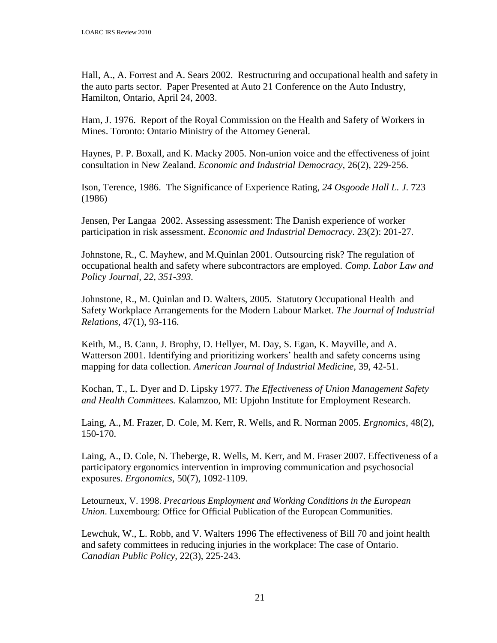Hall, A., A. Forrest and A. Sears 2002. Restructuring and occupational health and safety in the auto parts sector. Paper Presented at Auto 21 Conference on the Auto Industry, Hamilton, Ontario, April 24, 2003.

Ham, J. 1976. Report of the Royal Commission on the Health and Safety of Workers in Mines. Toronto: Ontario Ministry of the Attorney General.

Haynes, P. P. Boxall, and K. Macky 2005. Non-union voice and the effectiveness of joint consultation in New Zealand. *Economic and Industrial Democracy,* 26(2), 229-256.

Ison, Terence, 1986. The Significance of Experience Rating, *24 Osgoode Hall L. J*. 723 (1986)

Jensen, Per Langaa 2002. Assessing assessment: The Danish experience of worker participation in risk assessment. *Economic and Industrial Democracy*. 23(2): 201-27.

Johnstone, R., C. Mayhew, and M.Quinlan 2001. Outsourcing risk? The regulation of occupational health and safety where subcontractors are employed. *Comp. Labor Law and Policy Journal, 22, 351-393.*

Johnstone, R., M. Quinlan and D. Walters, 2005. Statutory Occupational Health and Safety Workplace Arrangements for the Modern Labour Market. *The Journal of Industrial Relations,* 47(1), 93-116.

Keith, M., B. Cann, J. Brophy, D. Hellyer, M. Day, S. Egan, K. Mayville, and A. Watterson 2001. Identifying and prioritizing workers' health and safety concerns using mapping for data collection. *American Journal of Industrial Medicine,* 39, 42-51.

Kochan, T., L. Dyer and D. Lipsky 1977. *The Effectiveness of Union Management Safety and Health Committees.* Kalamzoo, MI: Upjohn Institute for Employment Research.

Laing, A., M. Frazer, D. Cole, M. Kerr, R. Wells, and R. Norman 2005. *Ergnomics*, 48(2), 150-170.

Laing, A., D. Cole, N. Theberge, R. Wells, M. Kerr, and M. Fraser 2007. Effectiveness of a participatory ergonomics intervention in improving communication and psychosocial exposures. *Ergonomics,* 50(7), 1092-1109.

Letourneux, V. 1998. *Precarious Employment and Working Conditions in the European Union*. Luxembourg: Office for Official Publication of the European Communities.

Lewchuk, W., L. Robb, and V. Walters 1996 The effectiveness of Bill 70 and joint health and safety committees in reducing injuries in the workplace: The case of Ontario. *Canadian Public Policy,* 22(3), 225-243.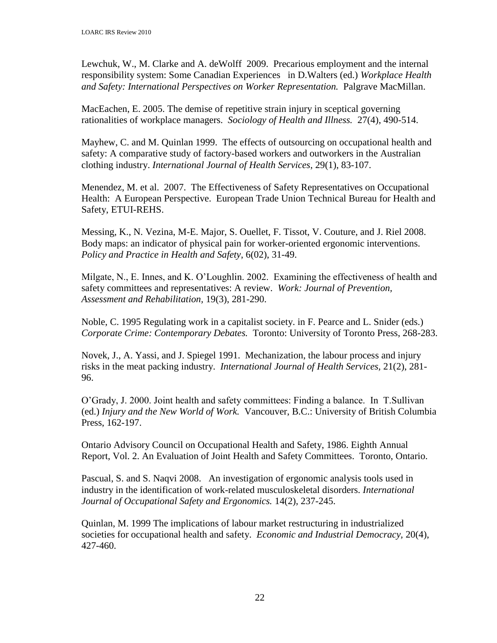Lewchuk, W., M. Clarke and A. deWolff 2009. Precarious employment and the internal responsibility system: Some Canadian Experiences in D.Walters (ed.) *Workplace Health and Safety: International Perspectives on Worker Representation.* Palgrave MacMillan.

MacEachen, E. 2005. The demise of repetitive strain injury in sceptical governing rationalities of workplace managers. *Sociology of Health and Illness.* 27(4), 490-514.

Mayhew, C. and M. Quinlan 1999. The effects of outsourcing on occupational health and safety: A comparative study of factory-based workers and outworkers in the Australian clothing industry. *International Journal of Health Services*, 29(1), 83-107.

Menendez, M. et al. 2007. The Effectiveness of Safety Representatives on Occupational Health: A European Perspective. European Trade Union Technical Bureau for Health and Safety, ETUI-REHS.

Messing, K., N. Vezina, M-E. Major, S. Ouellet, F. Tissot, V. Couture, and J. Riel 2008. Body maps: an indicator of physical pain for worker-oriented ergonomic interventions. *Policy and Practice in Health and Safety*, 6(02), 31-49.

Milgate, N., E. Innes, and K. O"Loughlin. 2002. Examining the effectiveness of health and safety committees and representatives: A review. *Work: Journal of Prevention, Assessment and Rehabilitation,* 19(3), 281-290.

Noble, C. 1995 Regulating work in a capitalist society. in F. Pearce and L. Snider (eds.) *Corporate Crime: Contemporary Debates.* Toronto: University of Toronto Press, 268-283.

Novek, J., A. Yassi, and J. Spiegel 1991. Mechanization, the labour process and injury risks in the meat packing industry. *International Journal of Health Services,* 21(2), 281- 96.

O"Grady, J. 2000. Joint health and safety committees: Finding a balance. In T.Sullivan (ed.) *Injury and the New World of Work.* Vancouver, B.C.: University of British Columbia Press, 162-197.

Ontario Advisory Council on Occupational Health and Safety, 1986. Eighth Annual Report, Vol. 2. An Evaluation of Joint Health and Safety Committees. Toronto, Ontario.

Pascual, S. and S. Naqvi 2008. An investigation of ergonomic analysis tools used in industry in the identification of work-related musculoskeletal disorders. *International Journal of Occupational Safety and Ergonomics.* 14(2), 237-245.

Quinlan, M. 1999 The implications of labour market restructuring in industrialized societies for occupational health and safety. *Economic and Industrial Democracy,* 20(4), 427-460.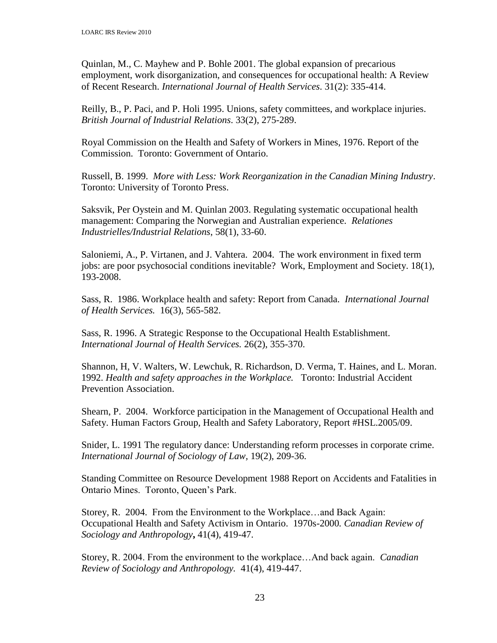Quinlan, M., C. Mayhew and P. Bohle 2001. The global expansion of precarious employment, work disorganization, and consequences for occupational health: A Review of Recent Research. *International Journal of Health Services*. 31(2): 335-414.

Reilly, B., P. Paci, and P. Holi 1995. Unions, safety committees, and workplace injuries. *British Journal of Industrial Relations*. 33(2), 275-289.

Royal Commission on the Health and Safety of Workers in Mines, 1976. Report of the Commission. Toronto: Government of Ontario.

Russell, B. 1999. *More with Less: Work Reorganization in the Canadian Mining Industry*. Toronto: University of Toronto Press.

Saksvik, Per Oystein and M. Quinlan 2003. Regulating systematic occupational health management: Comparing the Norwegian and Australian experience*. Relationes Industrielles/Industrial Relations*, 58(1), 33-60.

Saloniemi, A., P. Virtanen, and J. Vahtera. 2004. The work environment in fixed term jobs: are poor psychosocial conditions inevitable? Work, Employment and Society. 18(1), 193-2008.

Sass, R. 1986. Workplace health and safety: Report from Canada. *International Journal of Health Services.* 16(3), 565-582.

Sass, R. 1996. A Strategic Response to the Occupational Health Establishment. *International Journal of Health Services.* 26(2), 355-370.

Shannon, H, V. Walters, W. Lewchuk, R. Richardson, D. Verma, T. Haines, and L. Moran. 1992. *Health and safety approaches in the Workplace.* Toronto: Industrial Accident Prevention Association.

Shearn, P. 2004. Workforce participation in the Management of Occupational Health and Safety. Human Factors Group, Health and Safety Laboratory, Report #HSL.2005/09.

Snider, L. 1991 The regulatory dance: Understanding reform processes in corporate crime. *International Journal of Sociology of Law,* 19(2), 209-36.

Standing Committee on Resource Development 1988 Report on Accidents and Fatalities in Ontario Mines. Toronto, Queen"s Park.

Storey, R. 2004.From the Environment to the Workplace…and Back Again: Occupational Health and Safety Activism in Ontario. 1970s-2000*. Canadian Review of Sociology and Anthropology***,** 41(4), 419-47.

Storey, R. 2004. From the environment to the workplace…And back again. *Canadian Review of Sociology and Anthropology.* 41(4), 419-447.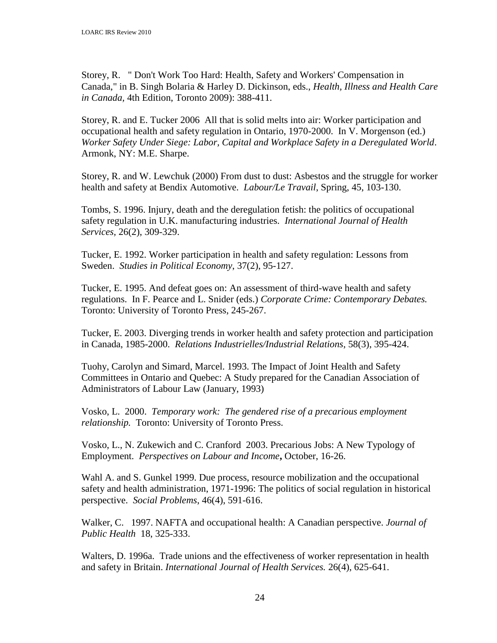Storey, R. " Don't Work Too Hard: Health, Safety and Workers' Compensation in Canada," in B. Singh Bolaria & Harley D. Dickinson, eds., *Health, Illness and Health Care in Canada,* 4th Edition, Toronto 2009): 388-411.

Storey, R. and E. Tucker 2006 All that is solid melts into air: Worker participation and occupational health and safety regulation in Ontario, 1970-2000. In V. Morgenson (ed.) *Worker Safety Under Siege: Labor, Capital and Workplace Safety in a Deregulated World*. Armonk, NY: M.E. Sharpe.

Storey, R. and W. Lewchuk (2000) From dust to dust: Asbestos and the struggle for worker health and safety at Bendix Automotive. *Labour/Le Travail*, Spring, 45, 103-130.

Tombs, S. 1996. Injury, death and the deregulation fetish: the politics of occupational safety regulation in U.K. manufacturing industries. *International Journal of Health Services,* 26(2), 309-329.

Tucker, E. 1992. Worker participation in health and safety regulation: Lessons from Sweden. *Studies in Political Economy*, 37(2), 95-127.

Tucker, E. 1995. And defeat goes on: An assessment of third-wave health and safety regulations. In F. Pearce and L. Snider (eds.) *Corporate Crime: Contemporary Debates.*  Toronto: University of Toronto Press, 245-267.

Tucker, E. 2003. Diverging trends in worker health and safety protection and participation in Canada, 1985-2000. *Relations Industrielles/Industrial Relations*, 58(3), 395-424.

Tuohy, Carolyn and Simard, Marcel. 1993. The Impact of Joint Health and Safety Committees in Ontario and Quebec: A Study prepared for the Canadian Association of Administrators of Labour Law (January, 1993)

Vosko, L. 2000. *Temporary work: The gendered rise of a precarious employment relationship.* Toronto: University of Toronto Press.

Vosko, L., N. Zukewich and C. Cranford 2003. Precarious Jobs: A New Typology of Employment. *Perspectives on Labour and Income***,** October, 16-26.

Wahl A. and S. Gunkel 1999. Due process, resource mobilization and the occupational safety and health administration, 1971-1996: The politics of social regulation in historical perspective. *Social Problems*, 46(4), 591-616.

Walker, C. 1997. NAFTA and occupational health: A Canadian perspective. *Journal of Public Health* 18, 325-333.

Walters, D. 1996a. Trade unions and the effectiveness of worker representation in health and safety in Britain. *International Journal of Health Services.* 26(4), 625-641.